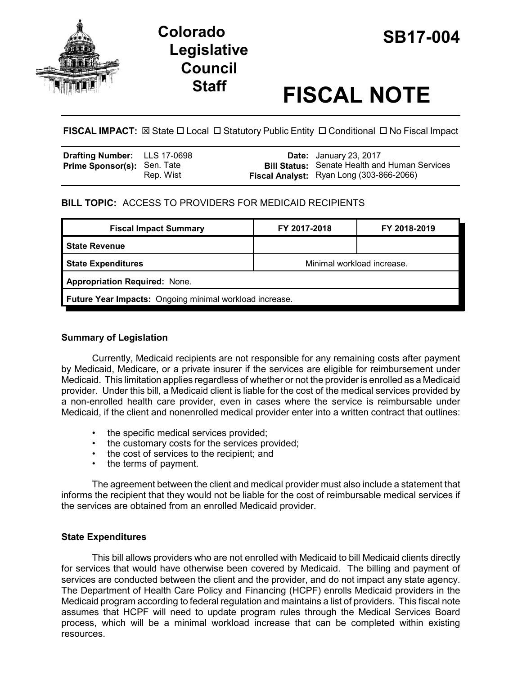

# **SB17-004 Colorado Legislative Council**

# **Staff FISCAL NOTE**

**FISCAL IMPACT:** ⊠ State □ Local □ Statutory Public Entity □ Conditional □ No Fiscal Impact

| <b>Drafting Number:</b> LLS 17-0698 |           | <b>Date:</b> January 23, 2017                                                                    |
|-------------------------------------|-----------|--------------------------------------------------------------------------------------------------|
| <b>Prime Sponsor(s): Sen. Tate</b>  | Rep. Wist | <b>Bill Status:</b> Senate Health and Human Services<br>Fiscal Analyst: Ryan Long (303-866-2066) |

## **BILL TOPIC:** ACCESS TO PROVIDERS FOR MEDICAID RECIPIENTS

| <b>Fiscal Impact Summary</b>                            | FY 2017-2018               | FY 2018-2019 |  |  |  |
|---------------------------------------------------------|----------------------------|--------------|--|--|--|
| <b>State Revenue</b>                                    |                            |              |  |  |  |
| <b>State Expenditures</b>                               | Minimal workload increase. |              |  |  |  |
| <b>Appropriation Required: None.</b>                    |                            |              |  |  |  |
| Future Year Impacts: Ongoing minimal workload increase. |                            |              |  |  |  |

#### **Summary of Legislation**

Currently, Medicaid recipients are not responsible for any remaining costs after payment by Medicaid, Medicare, or a private insurer if the services are eligible for reimbursement under Medicaid. This limitation applies regardless of whether or not the provider is enrolled as a Medicaid provider. Under this bill, a Medicaid client is liable for the cost of the medical services provided by a non-enrolled health care provider, even in cases where the service is reimbursable under Medicaid, if the client and nonenrolled medical provider enter into a written contract that outlines:

- the specific medical services provided;
- the customary costs for the services provided;
- the cost of services to the recipient; and
- the terms of payment.

The agreement between the client and medical provider must also include a statement that informs the recipient that they would not be liable for the cost of reimbursable medical services if the services are obtained from an enrolled Medicaid provider.

## **State Expenditures**

This bill allows providers who are not enrolled with Medicaid to bill Medicaid clients directly for services that would have otherwise been covered by Medicaid. The billing and payment of services are conducted between the client and the provider, and do not impact any state agency. The Department of Health Care Policy and Financing (HCPF) enrolls Medicaid providers in the Medicaid program according to federal regulation and maintains a list of providers. This fiscal note assumes that HCPF will need to update program rules through the Medical Services Board process, which will be a minimal workload increase that can be completed within existing resources.